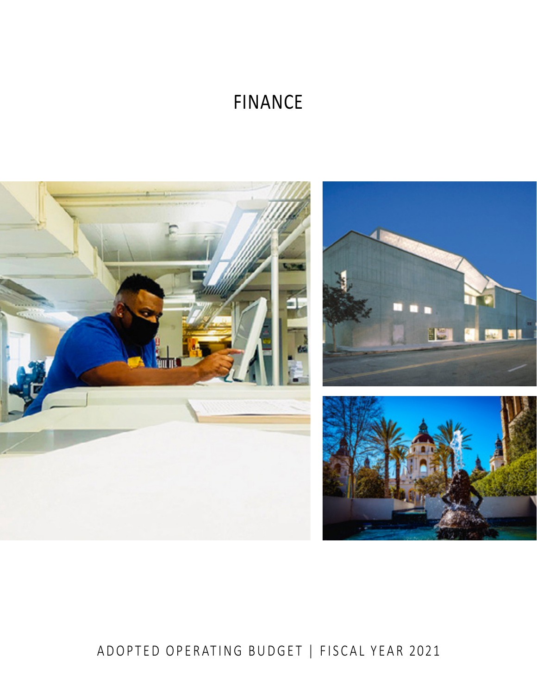# FINANCE



# ADOPTED OPERATING BUDGET | FISCAL YEAR 2021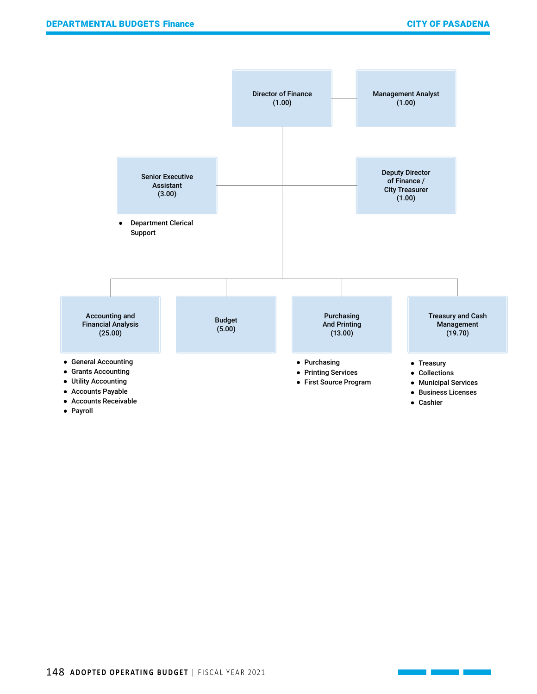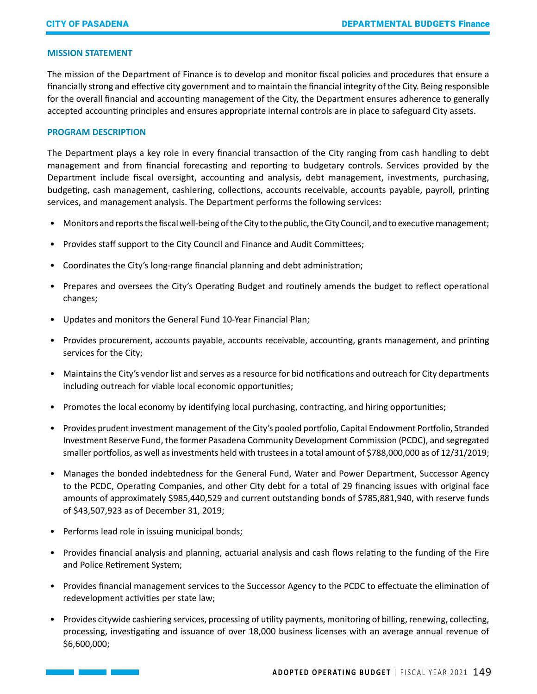#### **MISSION STATEMENT**

The mission of the Department of Finance is to develop and monitor fiscal policies and procedures that ensure a financially strong and effective city government and to maintain the financial integrity of the City. Being responsible for the overall financial and accounting management of the City, the Department ensures adherence to generally accepted accounting principles and ensures appropriate internal controls are in place to safeguard City assets.

#### **PROGRAM DESCRIPTION**

The Department plays a key role in every financial transaction of the City ranging from cash handling to debt management and from financial forecasting and reporting to budgetary controls. Services provided by the Department include fiscal oversight, accounting and analysis, debt management, investments, purchasing, budgeting, cash management, cashiering, collections, accounts receivable, accounts payable, payroll, printing services, and management analysis. The Department performs the following services:

- Monitors and reports the fiscal well-being of the City to the public, the City Council, and to executive management;
- Provides staff support to the City Council and Finance and Audit Committees;
- Coordinates the City's long-range financial planning and debt administration;
- Prepares and oversees the City's Operating Budget and routinely amends the budget to reflect operational changes;
- Updates and monitors the General Fund 10-Year Financial Plan;
- Provides procurement, accounts payable, accounts receivable, accounting, grants management, and printing services for the City;
- Maintains the City's vendor list and serves as a resource for bid notifications and outreach for City departments including outreach for viable local economic opportunities;
- Promotes the local economy by identifying local purchasing, contracting, and hiring opportunities;
- Provides prudent investment management of the City's pooled portfolio, Capital Endowment Portfolio, Stranded Investment Reserve Fund, the former Pasadena Community Development Commission (PCDC), and segregated smaller portfolios, as well as investments held with trustees in a total amount of \$788,000,000 as of 12/31/2019;
- Manages the bonded indebtedness for the General Fund, Water and Power Department, Successor Agency to the PCDC, Operating Companies, and other City debt for a total of 29 financing issues with original face amounts of approximately \$985,440,529 and current outstanding bonds of \$785,881,940, with reserve funds of \$43,507,923 as of December 31, 2019;
- Performs lead role in issuing municipal bonds;
- Provides financial analysis and planning, actuarial analysis and cash flows relating to the funding of the Fire and Police Retirement System;
- Provides financial management services to the Successor Agency to the PCDC to effectuate the elimination of redevelopment activities per state law;
- Provides citywide cashiering services, processing of utility payments, monitoring of billing, renewing, collecting, processing, investigating and issuance of over 18,000 business licenses with an average annual revenue of \$6,600,000;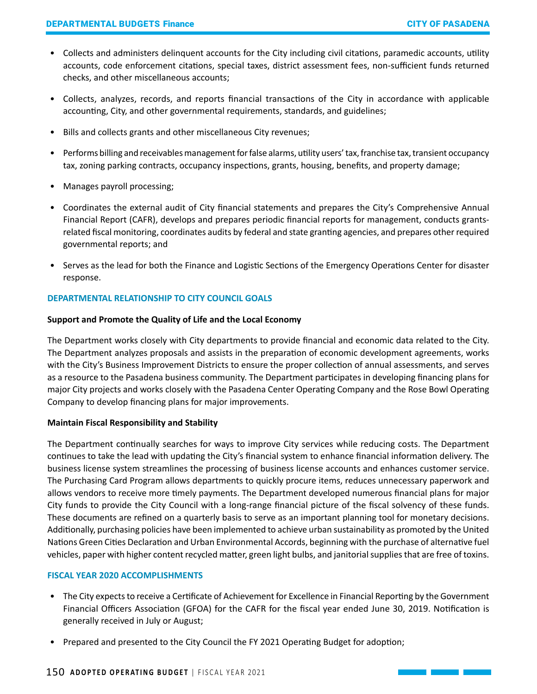- Collects and administers delinquent accounts for the City including civil citations, paramedic accounts, utility accounts, code enforcement citations, special taxes, district assessment fees, non-sufficient funds returned checks, and other miscellaneous accounts;
- Collects, analyzes, records, and reports financial transactions of the City in accordance with applicable accounting, City, and other governmental requirements, standards, and guidelines;
- Bills and collects grants and other miscellaneous City revenues;
- Performs billing and receivables management for false alarms, utility users' tax, franchise tax, transient occupancy tax, zoning parking contracts, occupancy inspections, grants, housing, benefits, and property damage;
- Manages payroll processing;
- Coordinates the external audit of City financial statements and prepares the City's Comprehensive Annual Financial Report (CAFR), develops and prepares periodic financial reports for management, conducts grantsrelated fiscal monitoring, coordinates audits by federal and state granting agencies, and prepares other required governmental reports; and
- Serves as the lead for both the Finance and Logistic Sections of the Emergency Operations Center for disaster response.

# **DEPARTMENTAL RELATIONSHIP TO CITY COUNCIL GOALS**

#### **Support and Promote the Quality of Life and the Local Economy**

The Department works closely with City departments to provide financial and economic data related to the City. The Department analyzes proposals and assists in the preparation of economic development agreements, works with the City's Business Improvement Districts to ensure the proper collection of annual assessments, and serves as a resource to the Pasadena business community. The Department participates in developing financing plans for major City projects and works closely with the Pasadena Center Operating Company and the Rose Bowl Operating Company to develop financing plans for major improvements.

### **Maintain Fiscal Responsibility and Stability**

The Department continually searches for ways to improve City services while reducing costs. The Department continues to take the lead with updating the City's financial system to enhance financial information delivery. The business license system streamlines the processing of business license accounts and enhances customer service. The Purchasing Card Program allows departments to quickly procure items, reduces unnecessary paperwork and allows vendors to receive more timely payments. The Department developed numerous financial plans for major City funds to provide the City Council with a long-range financial picture of the fiscal solvency of these funds. These documents are refined on a quarterly basis to serve as an important planning tool for monetary decisions. Additionally, purchasing policies have been implemented to achieve urban sustainability as promoted by the United Nations Green Cities Declaration and Urban Environmental Accords, beginning with the purchase of alternative fuel vehicles, paper with higher content recycled matter, green light bulbs, and janitorial supplies that are free of toxins.

#### **FISCAL YEAR 2020 ACCOMPLISHMENTS**

- The City expects to receive a Certificate of Achievement for Excellence in Financial Reporting by the Government Financial Officers Association (GFOA) for the CAFR for the fiscal year ended June 30, 2019. Notification is generally received in July or August;
- Prepared and presented to the City Council the FY 2021 Operating Budget for adoption;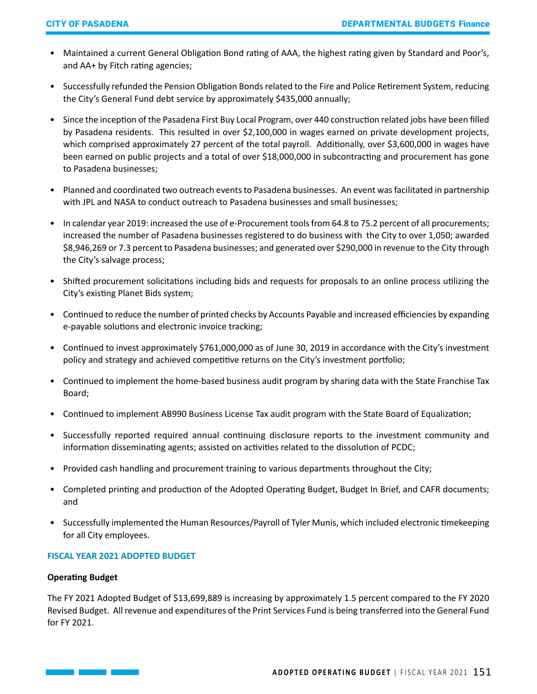- Maintained a current General Obligation Bond rating of AAA, the highest rating given by Standard and Poor's, and AA+ by Fitch rating agencies;
- Successfully refunded the Pension Obligation Bonds related to the Fire and Police Retirement System, reducing the City's General Fund debt service by approximately \$435,000 annually;
- Since the inception of the Pasadena First Buy Local Program, over 440 construction related jobs have been filled by Pasadena residents. This resulted in over \$2,100,000 in wages earned on private development projects, which comprised approximately 27 percent of the total payroll. Additionally, over \$3,600,000 in wages have been earned on public projects and a total of over \$18,000,000 in subcontracting and procurement has gone to Pasadena businesses;
- Planned and coordinated two outreach events to Pasadena businesses. An event was facilitated in partnership with JPL and NASA to conduct outreach to Pasadena businesses and small businesses;
- In calendar year 2019: increased the use of e-Procurement tools from 64.8 to 75.2 percent of all procurements; increased the number of Pasadena businesses registered to do business with the City to over 1,050; awarded \$8,946,269 or 7.3 percent to Pasadena businesses; and generated over \$290,000 in revenue to the City through the City's salvage process;
- Shifted procurement solicitations including bids and requests for proposals to an online process utilizing the City's existing Planet Bids system;
- Continued to reduce the number of printed checks by Accounts Payable and increased efficiencies by expanding e-payable solutions and electronic invoice tracking;
- Continued to invest approximately \$761,000,000 as of June 30, 2019 in accordance with the City's investment policy and strategy and achieved competitive returns on the City's investment portfolio;
- Continued to implement the home-based business audit program by sharing data with the State Franchise Tax Board;
- Continued to implement AB990 Business License Tax audit program with the State Board of Equalization;
- Successfully reported required annual continuing disclosure reports to the investment community and information disseminating agents; assisted on activities related to the dissolution of PCDC;
- Provided cash handling and procurement training to various departments throughout the City;
- Completed printing and production of the Adopted Operating Budget, Budget In Brief, and CAFR documents; and
- Successfully implemented the Human Resources/Payroll of Tyler Munis, which included electronic timekeeping for all City employees.

### **FISCAL YEAR 2021 ADOPTED BUDGET**

# **Operating Budget**

The FY 2021 Adopted Budget of \$13,699,889 is increasing by approximately 1.5 percent compared to the FY 2020 Revised Budget. All revenue and expenditures of the Print Services Fund is being transferred into the General Fund for FY 2021.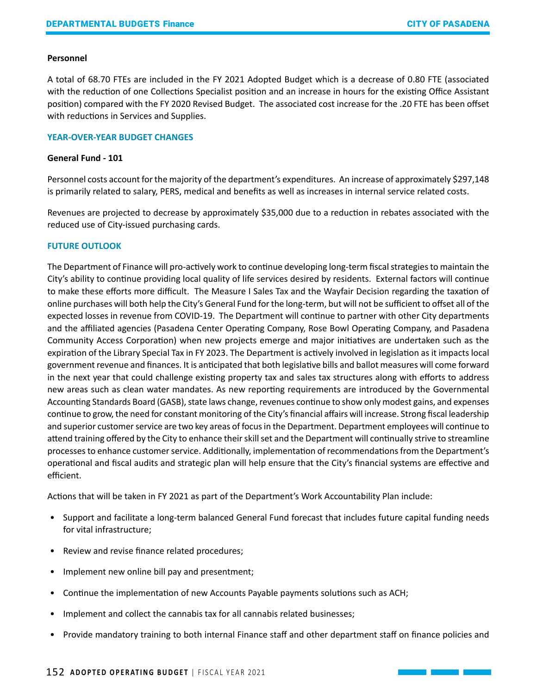#### **Personnel**

A total of 68.70 FTEs are included in the FY 2021 Adopted Budget which is a decrease of 0.80 FTE (associated with the reduction of one Collections Specialist position and an increase in hours for the existing Office Assistant position) compared with the FY 2020 Revised Budget. The associated cost increase for the .20 FTE has been offset with reductions in Services and Supplies.

#### **YEAR-OVER-YEAR BUDGET CHANGES**

#### **General Fund - 101**

Personnel costs account for the majority of the department's expenditures. An increase of approximately \$297,148 is primarily related to salary, PERS, medical and benefits as well as increases in internal service related costs.

Revenues are projected to decrease by approximately \$35,000 due to a reduction in rebates associated with the reduced use of City-issued purchasing cards.

### **FUTURE OUTLOOK**

The Department of Finance will pro-actively work to continue developing long-term fiscal strategies to maintain the City's ability to continue providing local quality of life services desired by residents. External factors will continue to make these efforts more difficult. The Measure I Sales Tax and the Wayfair Decision regarding the taxation of online purchases will both help the City's General Fund for the long-term, but will not be sufficient to offset all of the expected losses in revenue from COVID-19. The Department will continue to partner with other City departments and the affiliated agencies (Pasadena Center Operating Company, Rose Bowl Operating Company, and Pasadena Community Access Corporation) when new projects emerge and major initiatives are undertaken such as the expiration of the Library Special Tax in FY 2023. The Department is actively involved in legislation as it impacts local government revenue and finances. It is anticipated that both legislative bills and ballot measures will come forward in the next year that could challenge existing property tax and sales tax structures along with efforts to address new areas such as clean water mandates. As new reporting requirements are introduced by the Governmental Accounting Standards Board (GASB), state laws change, revenues continue to show only modest gains, and expenses continue to grow, the need for constant monitoring of the City's financial affairs will increase. Strong fiscal leadership and superior customer service are two key areas of focus in the Department. Department employees will continue to attend training offered by the City to enhance their skill set and the Department will continually strive to streamline processes to enhance customer service. Additionally, implementation of recommendations from the Department's operational and fiscal audits and strategic plan will help ensure that the City's financial systems are effective and efficient.

Actions that will be taken in FY 2021 as part of the Department's Work Accountability Plan include:

- Support and facilitate a long-term balanced General Fund forecast that includes future capital funding needs for vital infrastructure;
- Review and revise finance related procedures;
- Implement new online bill pay and presentment;
- Continue the implementation of new Accounts Payable payments solutions such as ACH;
- Implement and collect the cannabis tax for all cannabis related businesses;
- Provide mandatory training to both internal Finance staff and other department staff on finance policies and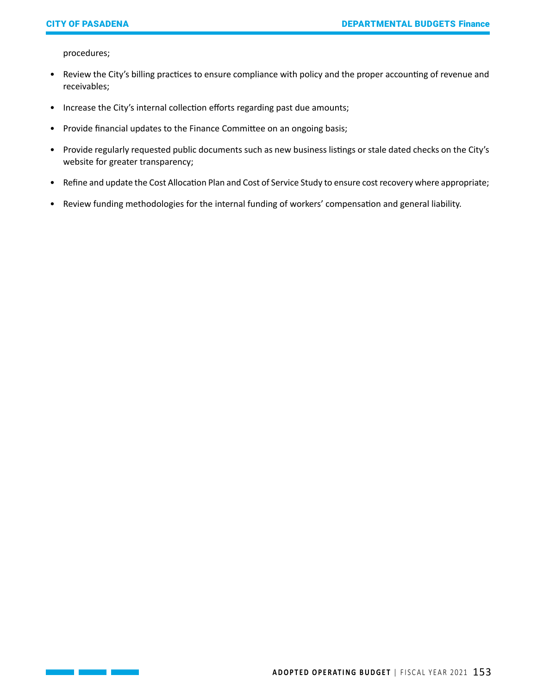procedures;

- Review the City's billing practices to ensure compliance with policy and the proper accounting of revenue and receivables;
- Increase the City's internal collection efforts regarding past due amounts;
- Provide financial updates to the Finance Committee on an ongoing basis;
- Provide regularly requested public documents such as new business listings or stale dated checks on the City's website for greater transparency;
- Refine and update the Cost Allocation Plan and Cost of Service Study to ensure cost recovery where appropriate;
- Review funding methodologies for the internal funding of workers' compensation and general liability.